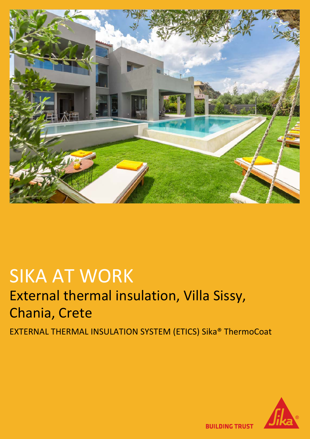

# SIKA AT WORK External thermal insulation, Villa Sissy, Chania, Crete

EXTERNAL THERMAL INSULATION SYSTEM (ETICS) Sika® ThermoCoat



**BUILDING TRUST**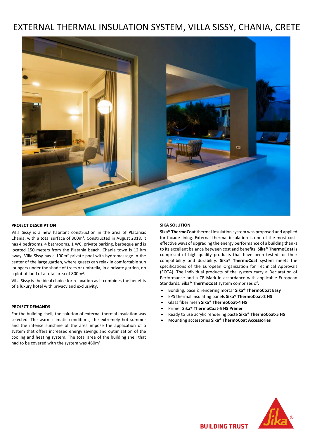## EXTERNAL THERMAL INSULATION SYSTEM, VILLA SISSY, CHANIA, CRETE



#### **PROJECT DESCRIPTION**

Villa Sissy is a new habitant construction in the area of Platanias Chania, with a total surface of 300m2. Constructed in August 2018, it has 4 bedrooms, 4 bathrooms, 1 WC, private parking, barbeque and is located 150 meters from the Platania beach. Chania town is 12 km away. Villa Sissy has a 100m<sup>2</sup> private pool with hydromassage in the center of the large garden, where guests can relax in comfortable sun loungers under the shade of trees or umbrella, in a private garden, on a plot of land of a total area of 800m2.

Villa Sissy is the ideal choice for relaxation as it combines the benefits of a luxury hotel with privacy and exclusivity.

#### **PROJECT DEMANDS**

For the building shell, the solution of external thermal insulation was selected. The warm climatic conditions, the extremely hot summer and the intense sunshine of the area impose the application of a system that offers increased energy savings and optimization of the cooling and heating system. The total area of the building shell that had to be covered with the system was 460m<sup>2</sup>.

#### **SIKA SOLUTION**

**Sika® ThermoCoat** thermal insulation system was proposed and applied for facade lining. External thermal insulation is one of the most costeffective ways of upgrading the energy performance of a building thanks to its excellent balance between cost and benefits. **Sika® ThermoCoat** is comprised of high quality products that have been tested for their compatibility and durability. **Sika® ThermoCoat** system meets the specifications of the European Organization for Technical Approvals (EOTA). The individual products of the system carry a Declaration of Performance and a CE Mark in accordance with applicable European Standards. **Sika® ThermoCoat** system comprises of:

- Bonding, base & rendering mortar **Sika® ThermoCoat Easy**
- EPS thermal insulating panels **Sika® ThermoCoat-2 HS**
- Glass fiber mesh **Sika® ThermoCoat-4 HS**
- Primer **Sika® ThermoCoat-5 HS Primer**
- Ready to use acrylic rendering paste **Sika® ThermoCoat-5 HS**
- Mounting accessories **Sika® ThermoCoat Accessories**

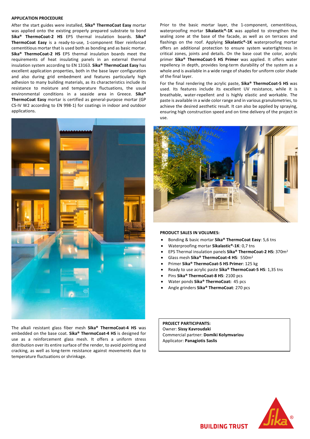#### **APPLICATION PROCEDURE**

After the start guides were installed, **Sika® ThermoCoat Easy** mortar was applied onto the existing properly prepared substrate to bond **Sika® ThermoCoat-2 HS** EPS thermal insulation boards. **Sika® ThermoCoat Easy** is a ready-to-use, 1-component fiber reinforced cementitious mortar that is used both as bonding and as basic mortar. **Sika® ThermoCoat-2 HS** EPS thermal insulation boards meet the requirements of heat insulating panels in an external thermal insulation system according to EN 13163. **Sika® ThermoCoat Easy** has excellent application properties, both in the base layer configuration and also during grid embedment and features particularly high adhesion to many building materials, as its characteristics include its resistance to moisture and temperature fluctuations, the usual environmental conditions in a seaside area in Greece. **Sika® ThermoCoat Easy** mortar is certified as general-purpose mortar (GP CS-IV W2 according to EN 998-1) for coatings in indoor and outdoor applications.



The alkali resistant glass fiber mesh **Sika® ThermoCoat-4 HS** was embedded on the base coat. **Sika® ThermoCoat-4 HS** is designed for use as a reinforcement glass mesh. It offers a uniform stress distribution over its entire surface of the render, to avoid pointing and cracking, as well as long-term resistance against movements due to temperature fluctuations or shrinkage.

Prior to the basic mortar layer, the 1-component, cementitious, waterproofing mortar **Sikalastic®-1K** was applied to strengthen the sealing zone at the base of the facade, as well as on terraces and flashings on the roof. Applying **Sikalastic®-1K** waterproofing mortar offers an additional protection to ensure system watertightness in critical zones, joints and details. On the base coat the color, acrylic primer **Sika® ThermoCoat-5 HS Primer** was applied. It offers water repellency in depth, provides long-term durability of the system as a whole and is available in a wide range of shades for uniform color shade of the final layer.

For the final rendering the acrylic paste, **Sika® ThermoCoat-5 HS** was used. Its features include its excellent UV resistance, while it is breathable, water-repellent and is highly elastic and workable. The paste is available in a wide color range and in various granulometries, to achieve the desired aesthetic result. It can also be applied by spraying, ensuring high construction speed and on time delivery of the project in use.



#### **PRODUCT SALES IN VOLUMES:**

- Bonding & basic mortar **Sika® ThermoCoat Easy**: 5,6 tns
- Waterproofing mortar **Sikalastic®-1K**: 0,7 tns
- EPS Thermal insulation panels **Sika® ThermoCoat-2 HS:** 370m2
- Glass mesh **Sika® ThermoCoat-4 HS**: 550m2
- Primer **Sika® ThermoCoat-5 HS Primer**: 125 kg
- Ready to use acrylic paste **Sika® ThermoCoat-5 HS**: 1,35 tns
- Pins **Sika® ThermoCoat-8 HS**: 2100 pcs
- Water ponds **Sika® ThermoCoat:** 45 pcs
- Angle grinders **Sika® ThermoCoat**: 270 pcs

**PROJECT PARTICIPANTS:** Owner: **Sissy Kavroudaki** Commercial partner: **Domiki Kolymvariou** Applicator: **Panagiotis Saslis**